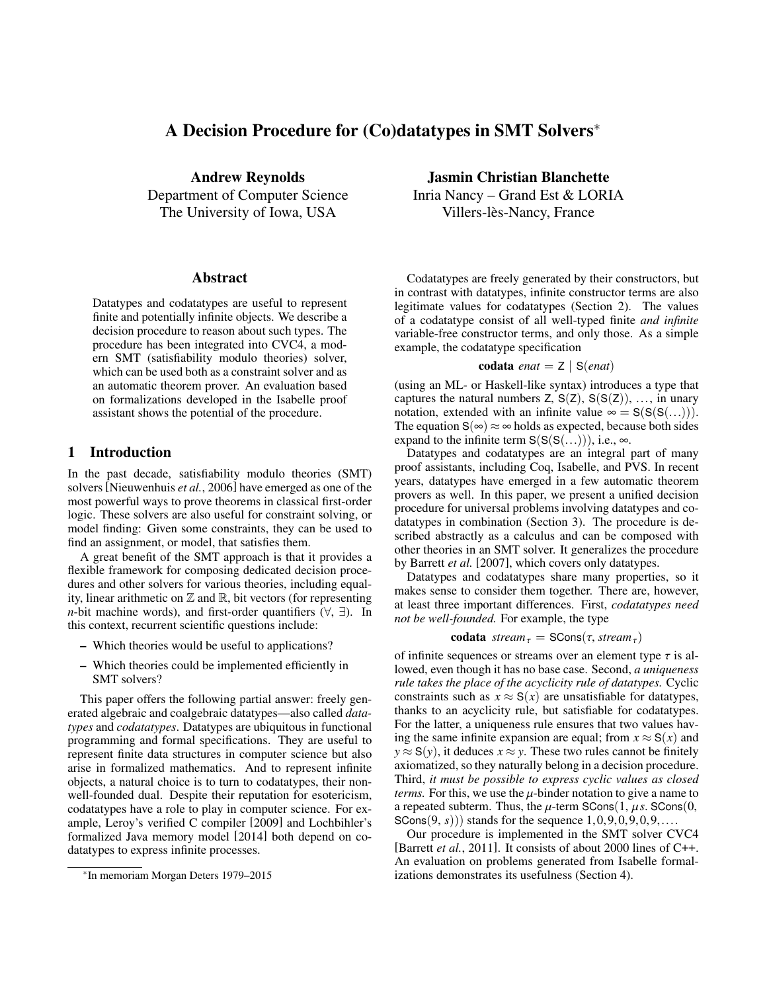# A Decision Procedure for (Co)datatypes in SMT Solvers<sup>∗</sup>

Andrew Reynolds Department of Computer Science The University of Iowa, USA

#### Abstract

Datatypes and codatatypes are useful to represent finite and potentially infinite objects. We describe a decision procedure to reason about such types. The procedure has been integrated into CVC4, a modern SMT (satisfiability modulo theories) solver, which can be used both as a constraint solver and as an automatic theorem prover. An evaluation based on formalizations developed in the Isabelle proof assistant shows the potential of the procedure.

## 1 Introduction

In the past decade, satisfiability modulo theories (SMT) solvers [\[Nieuwenhuis](#page-4-0) *et al.*, 2006] have emerged as one of the most powerful ways to prove theorems in classical first-order logic. These solvers are also useful for constraint solving, or model finding: Given some constraints, they can be used to find an assignment, or model, that satisfies them.

A great benefit of the SMT approach is that it provides a flexible framework for composing dedicated decision procedures and other solvers for various theories, including equality, linear arithmetic on  $\mathbb Z$  and  $\mathbb R$ , bit vectors (for representing *n*-bit machine words), and first-order quantifiers  $(\forall, \exists)$ . In this context, recurrent scientific questions include:

- Which theories would be useful to applications?
- Which theories could be implemented efficiently in SMT solvers?

This paper offers the following partial answer: freely generated algebraic and coalgebraic datatypes—also called *datatypes* and *codatatypes*. Datatypes are ubiquitous in functional programming and formal specifications. They are useful to represent finite data structures in computer science but also arise in formalized mathematics. And to represent infinite objects, a natural choice is to turn to codatatypes, their nonwell-founded dual. Despite their reputation for esotericism, codatatypes have a role to play in computer science. For example, Leroy's verified C compiler [\[2009\]](#page-4-1) and Lochbihler's formalized Java memory model [\[2014\]](#page-4-2) both depend on codatatypes to express infinite processes.

Jasmin Christian Blanchette Inria Nancy – Grand Est & LORIA Villers-lès-Nancy, France

Codatatypes are freely generated by their constructors, but in contrast with datatypes, infinite constructor terms are also legitimate values for codatatypes (Section [2\)](#page-1-0). The values of a codatatype consist of all well-typed finite *and infinite* variable-free constructor terms, and only those. As a simple example, the codatatype specification

$$
codata \text{ } enat = Z \mid S(\text{ }enat)
$$

(using an ML- or Haskell-like syntax) introduces a type that captures the natural numbers  $Z$ ,  $S(Z)$ ,  $S(S(Z))$ , ..., in unary notation, extended with an infinite value  $\infty = S(S(S(...)))$ . The equation  $S(\infty) \approx \infty$  holds as expected, because both sides expand to the infinite term  $S(S(S(...))),$  i.e.,  $\infty$ .

Datatypes and codatatypes are an integral part of many proof assistants, including Coq, Isabelle, and PVS. In recent years, datatypes have emerged in a few automatic theorem provers as well. In this paper, we present a unified decision procedure for universal problems involving datatypes and codatatypes in combination (Section [3\)](#page-1-1). The procedure is described abstractly as a calculus and can be composed with other theories in an SMT solver. It generalizes the procedure by Barrett *et al.* [\[2007\]](#page-4-3), which covers only datatypes.

Datatypes and codatatypes share many properties, so it makes sense to consider them together. There are, however, at least three important differences. First, *codatatypes need not be well-founded.* For example, the type

**codata** *stream*<sup>τ</sup> = 
$$
SCons(τ, stream_τ)
$$

of infinite sequences or streams over an element type  $\tau$  is allowed even though it has no hase case. Second *a uniqueness* lowed, even though it has no base case. Second, *a uniqueness rule takes the place of the acyclicity rule of datatypes.* Cyclic constraints such as  $x \approx S(x)$  are unsatisfiable for datatypes, thanks to an acyclicity rule, but satisfiable for codatatypes. For the latter, a uniqueness rule ensures that two values having the same infinite expansion are equal; from  $x \approx S(x)$  and  $y \approx S(y)$ , it deduces  $x \approx y$ . These two rules cannot be finitely axiomatized, so they naturally belong in a decision procedure. Third, *it must be possible to express cyclic values as closed terms.* For this, we use the  $\mu$ -binder notation to give a name to a repeated subterm. Thus, the  $\mu$ -term SCons $(1, \mu s)$ . SCons $(0, \mu s)$ SCons $(9, s)$ ) stands for the sequence  $1, 0, 9, 0, 9, 0, 9, \ldots$ .

Our procedure is implemented in the SMT solver CVC4 [\[Barrett](#page-4-4) *et al.*, 2011]. It consists of about 2000 lines of C++. An evaluation on problems generated from Isabelle formalizations demonstrates its usefulness (Section [4\)](#page-3-0).

<sup>∗</sup> In memoriam Morgan Deters 1979–2015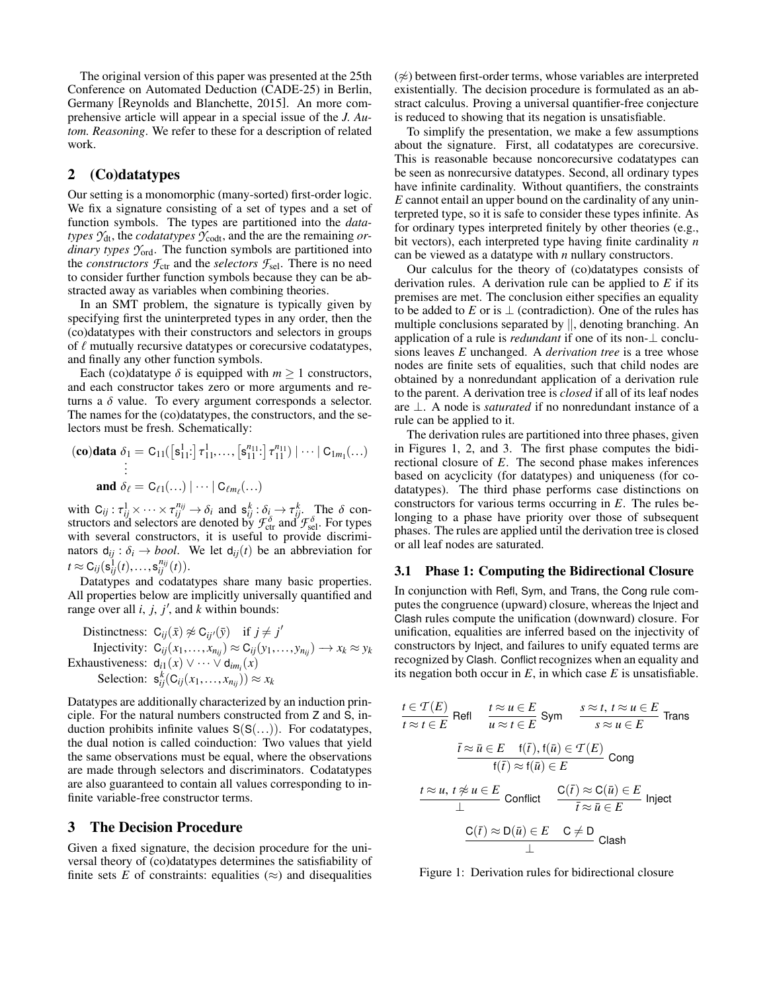The original version of this paper was presented at the 25th Conference on Automated Deduction (CADE-25) in Berlin, Germany [\[Reynolds and Blanchette, 2015\]](#page-4-5). An more comprehensive article will appear in a special issue of the *J. Autom. Reasoning*. We refer to these for a description of related work.

## <span id="page-1-0"></span>2 (Co)datatypes

Our setting is a monomorphic (many-sorted) first-order logic. We fix a signature consisting of a set of types and a set of function symbols. The types are partitioned into the *datatypes*  $\mathcal{Y}_{dt}$ , the *codatatypes*  $\mathcal{Y}_{\text{codt}}$ , and the are the remaining *ordinary types Y*ord. The function symbols are partitioned into the *constructors*  $\mathcal{F}_{ctr}$  and the *selectors*  $\mathcal{F}_{sel}$ . There is no need to consider further function symbols because they can be abstracted away as variables when combining theories.

In an SMT problem, the signature is typically given by specifying first the uninterpreted types in any order, then the (co)datatypes with their constructors and selectors in groups of  $\ell$  mutually recursive datatypes or corecursive codatatypes, and finally any other function symbols.

Each (co)datatype  $\delta$  is equipped with  $m \geq 1$  constructors, and each constructor takes zero or more arguments and returns a  $\delta$  value. To every argument corresponds a selector. The names for the (co)datatypes, the constructors, and the selectors must be fresh. Schematically:

$$
\begin{aligned} \n\textbf{(co)} \textbf{data} \ \delta_1 &= C_{11} \left( \left[ s_{11}^1 \cdot \right] \tau_{11}^1, \dots, \left[ s_{11}^{n_{11}} \cdot \right] \tau_{11}^{n_{11}} \right) \mid \dots \mid C_{1m_1} \left( \dots \right) \\ \n&\vdots \\ \n\textbf{and} \ \delta_\ell &= C_{\ell 1} \left( \dots \right) \mid \dots \mid C_{\ell m_\ell} \left( \dots \right) \n\end{aligned}
$$

with  $C_{ij}: \tau_{ij}^1 \times \cdots \times \tau_{ij}^{n_{ij}} \to \delta_i$  and  $s_{ij}^k : \delta_i \to \tau_{ij}^k$ . The  $\delta$  constructors and selectors are denoted by  $\mathcal{F}_{\text{ctr}}^{\delta}$  and  $\mathcal{F}_{\text{sel}}^{\delta}$ . For types with several constructors, it is useful to provide discriminators  $d_{ij}$ :  $\delta_i \rightarrow bool$ . We let  $d_{ij}(t)$  be an abbreviation for  $t \approx C_{ij}(s_{ij}^1(t),...,s_{ij}^{n_{ij}}(t)).$ <br>Datatypes and codata

Datatypes and codatatypes share many basic properties. All properties below are implicitly universally quantified and range over all  $i$ ,  $j$ ,  $j'$ , and  $k$  within bounds:

Distinctness:  $C_{ij}(\bar{x}) \not\approx C_{ij}(\bar{y})$  if  $j \neq j'$ Injectivity:  $C_{ij}(x_1,...,x_{n_{ij}}) \approx C_{ij}(y_1,...,y_{n_{ij}}) \rightarrow x_k \approx y_k$ <br>Exhaustiveness:  $d_{i1}(x) \vee \cdots \vee d_{im_i}(x)$ Selection:  $\mathbf{s}_{ij}^k(C_{ij}(x_1,...,x_{n_{ij}})) \approx x_k$ 

Datatypes are additionally characterized by an induction principle. For the natural numbers constructed from Z and S, induction prohibits infinite values  $S(S(...))$ . For codatatypes, the dual notion is called coinduction: Two values that yield the same observations must be equal, where the observations are made through selectors and discriminators. Codatatypes are also guaranteed to contain all values corresponding to infinite variable-free constructor terms.

# <span id="page-1-1"></span>3 The Decision Procedure

Given a fixed signature, the decision procedure for the universal theory of (co)datatypes determines the satisfiability of finite sets  $E$  of constraints: equalities ( $\approx$ ) and disequalities  $(\napprox)$  between first-order terms, whose variables are interpreted existentially. The decision procedure is formulated as an abstract calculus. Proving a universal quantifier-free conjecture is reduced to showing that its negation is unsatisfiable.

To simplify the presentation, we make a few assumptions about the signature. First, all codatatypes are corecursive. This is reasonable because noncorecursive codatatypes can be seen as nonrecursive datatypes. Second, all ordinary types have infinite cardinality. Without quantifiers, the constraints *E* cannot entail an upper bound on the cardinality of any uninterpreted type, so it is safe to consider these types infinite. As for ordinary types interpreted finitely by other theories (e.g., bit vectors), each interpreted type having finite cardinality *n* can be viewed as a datatype with *n* nullary constructors.

Our calculus for the theory of (co)datatypes consists of derivation rules. A derivation rule can be applied to *E* if its premises are met. The conclusion either specifies an equality to be added to *E* or is  $\perp$  (contradiction). One of the rules has multiple conclusions separated by ||, denoting branching. An application of a rule is *redundant* if one of its non-⊥ conclusions leaves *E* unchanged. A *derivation tree* is a tree whose nodes are finite sets of equalities, such that child nodes are obtained by a nonredundant application of a derivation rule to the parent. A derivation tree is *closed* if all of its leaf nodes are ⊥. A node is *saturated* if no nonredundant instance of a rule can be applied to it.

The derivation rules are partitioned into three phases, given in Figures [1,](#page-1-2) [2,](#page-2-0) and [3.](#page-2-1) The first phase computes the bidirectional closure of *E*. The second phase makes inferences based on acyclicity (for datatypes) and uniqueness (for codatatypes). The third phase performs case distinctions on constructors for various terms occurring in *E*. The rules belonging to a phase have priority over those of subsequent phases. The rules are applied until the derivation tree is closed or all leaf nodes are saturated.

### 3.1 Phase 1: Computing the Bidirectional Closure

In conjunction with Refl, Sym, and Trans, the Cong rule computes the congruence (upward) closure, whereas the Inject and Clash rules compute the unification (downward) closure. For unification, equalities are inferred based on the injectivity of constructors by Inject, and failures to unify equated terms are recognized by Clash. Conflict recognizes when an equality and its negation both occur in  $E$ , in which case  $E$  is unsatisfiable.

$$
t \in \mathcal{T}(E)
$$
  
\n
$$
t \approx t \in E
$$
  
\n
$$
\frac{t \approx u \in E}{u \approx t \in E}
$$
  
\n
$$
\frac{\overline{t} \approx \overline{u} \in E \quad \text{f}(\overline{t}), \text{f}(\overline{u}) \in \mathcal{T}(E)}{\text{f}(\overline{t}) \approx \text{f}(\overline{u}) \in E}
$$
  
\n
$$
\frac{t \approx u, t \not\approx u \in E}{\text{I}} \text{ Conflict}
$$
  
\n
$$
\frac{t \approx u, t \not\approx u \in E}{\text{I}} \text{ Conflict}
$$
  
\n
$$
\frac{C(\overline{t}) \approx D(\overline{u}) \in E \quad C \neq D}{\text{I}} \text{ Inject}
$$
  
\n
$$
\frac{C(\overline{t}) \approx D(\overline{u}) \in E \quad C \neq D}{\text{I}} \text{ Class}
$$

<span id="page-1-2"></span>Figure 1: Derivation rules for bidirectional closure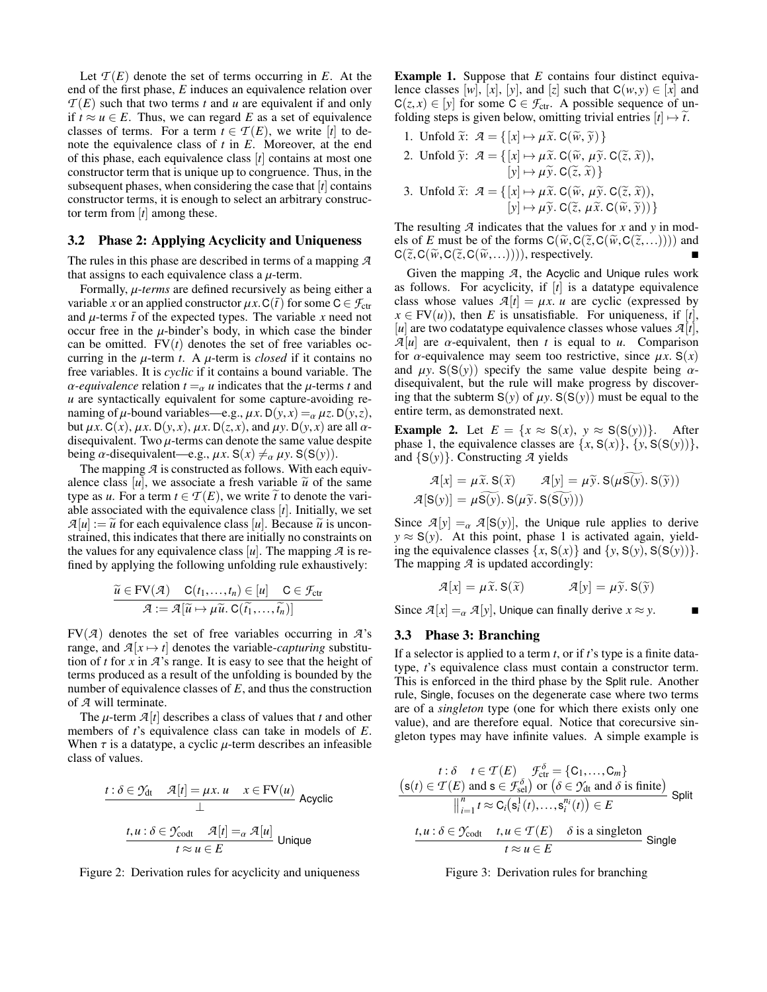Let  $\mathcal{T}(E)$  denote the set of terms occurring in  $E$ . At the end of the first phase, *E* induces an equivalence relation over  $T(E)$  such that two terms *t* and *u* are equivalent if and only if *t* ≈ *u* ∈ *E*. Thus, we can regard *E* as a set of equivalence classes of terms. For a term  $t \in \mathcal{T}(E)$ , we write [*t*] to denote the equivalence class of *t* in *E*. Moreover, at the end of this phase, each equivalence class [*t*] contains at most one constructor term that is unique up to congruence. Thus, in the subsequent phases, when considering the case that [*t*] contains constructor terms, it is enough to select an arbitrary constructor term from [*t*] among these.

#### 3.2 Phase 2: Applying Acyclicity and Uniqueness

The rules in this phase are described in terms of a mapping *A* that assigns to each equivalence class a  $\mu$ -term.

Formally, µ-*terms* are defined recursively as being either a variable *x* or an applied constructor  $\mu x$ . C( $\bar{t}$ ) for some C  $\in \mathcal{F}_{\text{ctr}}$ and  $\mu$ -terms  $\bar{t}$  of the expected types. The variable *x* need not occur free in the  $\mu$ -binder's body, in which case the binder can be omitted.  $FV(t)$  denotes the set of free variables occurring in the  $\mu$ -term *t*. A  $\mu$ -term is *closed* if it contains no free variables. It is *cyclic* if it contains a bound variable. The  $\alpha$ -equivalence relation  $t = \alpha$  *u* indicates that the  $\mu$ -terms *t* and *u* are syntactically equivalent for some capture-avoiding renaming of  $\mu$ -bound variables—e.g.,  $\mu x$ . D( $y$ , $x$ ) =  $\alpha \mu z$ . D( $y$ , $z$ ), but  $\mu x$ . C(*x*),  $\mu x$ . D(*y*, *x*),  $\mu x$ . D(*z*, *x*), and  $\mu y$ . D(*y*, *x*) are all  $\alpha$ disequivalent. Two  $\mu$ -terms can denote the same value despite being *α*-disequivalent—e.g.,  $\mu x$ . S( $x$ )  $\neq_{\alpha} \mu y$ . S(S(*y*)).

The mapping *A* is constructed as follows. With each equivalence class [u], we associate a fresh variable  $\tilde{u}$  of the same type as *u*. For a term  $t \in \mathcal{T}(E)$ , we write  $\tilde{t}$  to denote the variable associated with the equivalence class [*t*]. Initially, we set  $\mathcal{A}[u] := \tilde{u}$  for each equivalence class [*u*]. Because  $\tilde{u}$  is unconstrained, this indicates that there are initially no constraints on the values for any equivalence class  $[u]$ . The mapping  $\mathcal A$  is refined by applying the following unfolding rule exhaustively:

$$
\frac{\widetilde{u} \in \text{FV}(\mathcal{A}) \quad \text{C}(t_1, \dots, t_n) \in [u] \quad \text{C} \in \mathcal{F}_{\text{ctr}}}{\mathcal{A} := \mathcal{A}[\widetilde{u} \mapsto \mu \widetilde{u} \cdot \text{C}(\widetilde{t_1}, \dots, \widetilde{t_n})]}
$$

 $FV(A)$  denotes the set of free variables occurring in  $A$ 's range, and  $\mathcal{A}[x \mapsto t]$  denotes the variable-*capturing* substitution of *t* for *x* in *A*'s range. It is easy to see that the height of terms produced as a result of the unfolding is bounded by the number of equivalence classes of *E*, and thus the construction of *A* will terminate.

The  $\mu$ -term  $\mathcal{A}[t]$  describes a class of values that *t* and other members of *t*'s equivalence class can take in models of *E*. When  $\tau$  is a datatype, a cyclic  $\mu$ -term describes an infeasible class of values.

$$
\begin{aligned}\n\frac{t:\delta \in \mathcal{Y}_{dt} \quad \mathcal{A}[t] = \mu x. \ u \quad x \in \text{FV}(u)}{\perp} \text{ Acyclic} \\
\frac{t, u:\delta \in \mathcal{Y}_{\text{codt}} \quad \mathcal{A}[t] =_{\alpha} \mathcal{A}[u]}{t \approx u \in E} \text{ Unique}\n\end{aligned}
$$

<span id="page-2-0"></span>Figure 2: Derivation rules for acyclicity and uniqueness

Example 1. Suppose that *E* contains four distinct equivalence classes  $[w]$ ,  $[x]$ ,  $[y]$ , and  $[z]$  such that  $C(w, y) \in [x]$  and  $C(z, x) \in [y]$  for some  $C \in \mathcal{F}_{ctr}$ . A possible sequence of unfolding steps is given below, omitting trivial entries  $[t] \mapsto \tilde{t}$ .

- 1. Unfold  $\widetilde{x}$ :  $\mathcal{A} = \{ [x] \mapsto \mu \widetilde{x}$ . C( $\widetilde{w}$ ,  $\widetilde{y}$ ) }
- 2. Unfold  $\widetilde{y}$ :  $\mathcal{A} = \{ [x] \mapsto \mu \widetilde{x}$ . C( $\widetilde{w}$ ,  $\mu \widetilde{y}$ . C( $\widetilde{z}$ ,  $\widetilde{x}$ )),  $[y] \mapsto \mu \tilde{y}$ . C( $\tilde{z}, \tilde{x}$ ) }
- 3. Unfold  $\widetilde{x}$ :  $\mathcal{A} = \{ [x] \mapsto \mu \widetilde{x}$ . C( $\widetilde{\omega}$ ,  $\mu \widetilde{y}$ . C( $\widetilde{z}$ ,  $\widetilde{x}$ )),  $[y] \mapsto \mu \widetilde{y}$ . C( $\widetilde{z}$ ,  $\mu \widetilde{x}$ . C( $\widetilde{w}$ ,  $\widetilde{y}$ )) }

The resulting *A* indicates that the values for *x* and *y* in models of *E* must be of the forms  $C(\widetilde{w}, C(\widetilde{z}, C(\widetilde{w}, C(\widetilde{z},...))))$  and  $C(\widetilde{z},C(\widetilde{w},C(\widetilde{z},C(\widetilde{w},...))))$ , respectively.

Given the mapping *A*, the Acyclic and Unique rules work as follows. For acyclicity, if [*t*] is a datatype equivalence class whose values  $A[t] = \mu x$ . *u* are cyclic (expressed by  $x \in FV(u)$ , then *E* is unsatisfiable. For uniqueness, if [*t*], [*u*] are two codatatype equivalence classes whose values  $\mathcal{A}[t]$ ,  $\mathcal{A}[u]$  are  $\alpha$ -equivalent, then *t* is equal to *u*. Comparison for  $\alpha$ -equivalence may seem too restrictive, since  $\mu x$ . S(x) and  $\mu y$ . S(S(y)) specify the same value despite being  $\alpha$ disequivalent, but the rule will make progress by discovering that the subterm  $S(y)$  of  $\mu y$ .  $S(S(y))$  must be equal to the entire term, as demonstrated next.

**Example 2.** Let  $E = \{x \approx S(x), y \approx S(S(y))\}$ . After phase 1, the equivalence classes are  $\{x, S(x)\}, \{y, S(S(y))\},\$ and {S(*y*)}. Constructing *A* yields

$$
\mathcal{A}[x] = \mu \tilde{x}. S(\tilde{x}) \qquad \mathcal{A}[y] = \mu \tilde{y}. S(\mu S(y). S(\tilde{y}))
$$

$$
\mathcal{A}[S(y)] = \mu \tilde{S(y)}. S(\mu \tilde{y}. S(\tilde{S(y)}))
$$

Since  $\mathcal{A}[y] =_{\alpha} \mathcal{A}[S(y)]$ , the Unique rule applies to derive  $y \approx S(y)$ . At this point, phase 1 is activated again, yielding the equivalence classes  $\{x, S(x)\}\$ and  $\{y, S(y), S(S(y))\}.$ The mapping *A* is updated accordingly:

$$
\mathcal{A}[x] = \mu \widetilde{x}. \mathbf{S}(\widetilde{x}) \qquad \qquad \mathcal{A}[y] = \mu \widetilde{y}. \mathbf{S}(\widetilde{y})
$$

Since  $\mathcal{A}[x] =_{\alpha} \mathcal{A}[y]$ , Unique can finally derive  $x \approx y$ .

#### 3.3 Phase 3: Branching

If a selector is applied to a term *t*, or if *t*'s type is a finite datatype, *t*'s equivalence class must contain a constructor term. This is enforced in the third phase by the Split rule. Another rule, Single, focuses on the degenerate case where two terms are of a *singleton* type (one for which there exists only one value), and are therefore equal. Notice that corecursive singleton types may have infinite values. A simple example is

$$
t: \delta \quad t \in \mathcal{T}(E) \quad \mathcal{F}_{\text{ctr}}^{\delta} = \{C_1, \dots, C_m\}
$$
\n
$$
\frac{\left(\mathbf{s}(t) \in \mathcal{T}(E) \text{ and } \mathbf{s} \in \mathcal{F}_{\text{sel}}^{\delta}\right) \text{ or } \left(\delta \in \mathcal{Y}_{\text{dt}} \text{ and } \delta \text{ is finite}\right)}{\left\| \begin{array}{l} n \\ i = 1 \end{array} \right\| \mathcal{F}_{\text{cel}} \times \mathbf{C}_i\big(\mathbf{s}_i^1(t), \dots, \mathbf{s}_i^{n_i}(t)\big) \in E}
$$
\n
$$
t, u: \delta \in \mathcal{Y}_{\text{codt}} \quad t, u \in \mathcal{T}(E) \quad \delta \text{ is a singleton}
$$
\n
$$
t \approx u \in E
$$
\nSingle

<span id="page-2-1"></span>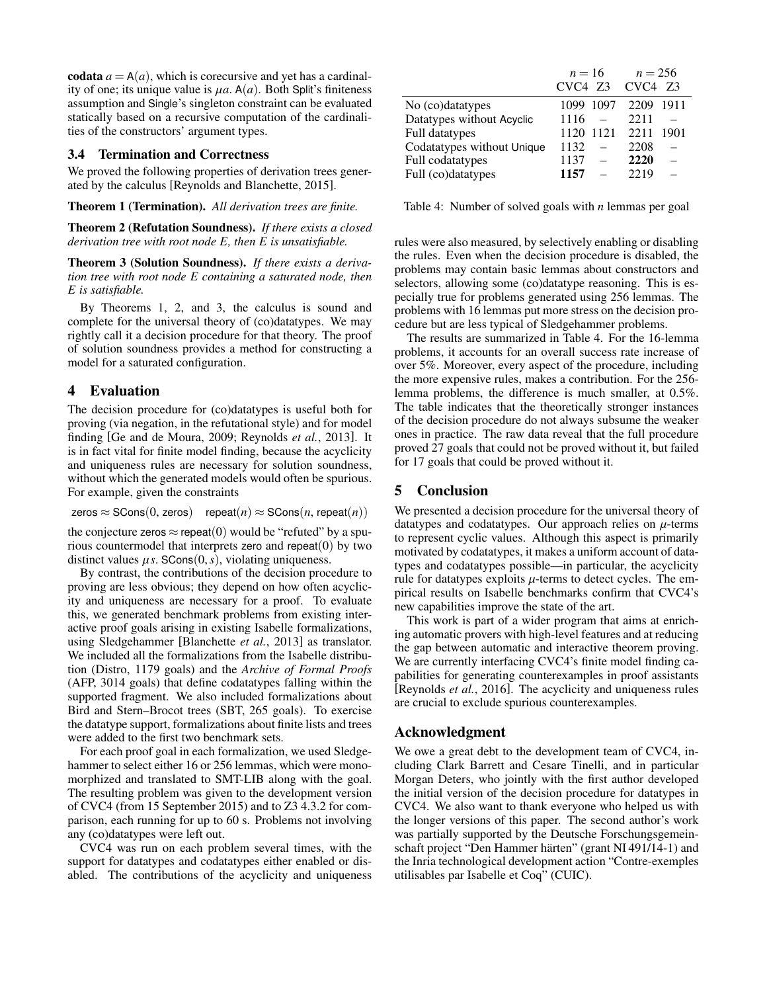codata  $a = A(a)$ , which is corecursive and yet has a cardinality of one; its unique value is  $\mu a$ . A( $a$ ). Both Split's finiteness assumption and Single's singleton constraint can be evaluated statically based on a recursive computation of the cardinalities of the constructors' argument types.

### 3.4 Termination and Correctness

We proved the following properties of derivation trees generated by the calculus [\[Reynolds and Blanchette, 2015\]](#page-4-5).

Theorem 1 (Termination). *All derivation trees are finite.*

Theorem 2 (Refutation Soundness). *If there exists a closed derivation tree with root node E, then E is unsatisfiable.*

Theorem 3 (Solution Soundness). *If there exists a derivation tree with root node E containing a saturated node, then E is satisfiable.*

By Theorems 1, 2, and 3, the calculus is sound and complete for the universal theory of (co)datatypes. We may rightly call it a decision procedure for that theory. The proof of solution soundness provides a method for constructing a model for a saturated configuration.

# <span id="page-3-0"></span>4 Evaluation

The decision procedure for (co)datatypes is useful both for proving (via negation, in the refutational style) and for model finding [\[Ge and de Moura, 2009;](#page-4-6) [Reynolds](#page-4-7) *et al.*, 2013]. It is in fact vital for finite model finding, because the acyclicity and uniqueness rules are necessary for solution soundness, without which the generated models would often be spurious. For example, given the constraints

 $\mathsf{zeros} \approx \mathsf{SCons}(0, \mathsf{zeros})$  repeat $(n) \approx \mathsf{SCons}(n, \mathsf{repeat}(n))$ 

the conjecture zeros  $\approx$  repeat(0) would be "refuted" by a spurious countermodel that interprets zero and repeat $(0)$  by two distinct values  $\mu s$ . SCons $(0, s)$ , violating uniqueness.

By contrast, the contributions of the decision procedure to proving are less obvious; they depend on how often acyclicity and uniqueness are necessary for a proof. To evaluate this, we generated benchmark problems from existing interactive proof goals arising in existing Isabelle formalizations, using Sledgehammer [\[Blanchette](#page-4-8) *et al.*, 2013] as translator. We included all the formalizations from the Isabelle distribution (Distro, 1179 goals) and the *Archive of Formal Proofs* (AFP, 3014 goals) that define codatatypes falling within the supported fragment. We also included formalizations about Bird and Stern–Brocot trees (SBT, 265 goals). To exercise the datatype support, formalizations about finite lists and trees were added to the first two benchmark sets.

For each proof goal in each formalization, we used Sledgehammer to select either 16 or 256 lemmas, which were monomorphized and translated to SMT-LIB along with the goal. The resulting problem was given to the development version of CVC4 (from 15 September 2015) and to Z3 4.3.2 for comparison, each running for up to 60 s. Problems not involving any (co)datatypes were left out.

CVC4 was run on each problem several times, with the support for datatypes and codatatypes either enabled or disabled. The contributions of the acyclicity and uniqueness

|                            | $n = 16$           | $n = 256$    |
|----------------------------|--------------------|--------------|
|                            | $CVC4$ $Z3$ $CVC4$ | - 73         |
| No (co)datatypes           | 1099 1097          | 2209<br>1911 |
| Datatypes without Acyclic  | 1116               | 2211         |
| Full datatypes             | 1121<br>1120       | 2211<br>1901 |
| Codatatypes without Unique | 1132               | 2208         |
| Full codatatypes           | 1137               | 2220         |
| Full (co)datatypes         | 1157               | 2219         |

<span id="page-3-1"></span>Table 4: Number of solved goals with *n* lemmas per goal

rules were also measured, by selectively enabling or disabling the rules. Even when the decision procedure is disabled, the problems may contain basic lemmas about constructors and selectors, allowing some (co)datatype reasoning. This is especially true for problems generated using 256 lemmas. The problems with 16 lemmas put more stress on the decision procedure but are less typical of Sledgehammer problems.

The results are summarized in Table [4.](#page-3-1) For the 16-lemma problems, it accounts for an overall success rate increase of over 5%. Moreover, every aspect of the procedure, including the more expensive rules, makes a contribution. For the 256 lemma problems, the difference is much smaller, at 0.5%. The table indicates that the theoretically stronger instances of the decision procedure do not always subsume the weaker ones in practice. The raw data reveal that the full procedure proved 27 goals that could not be proved without it, but failed for 17 goals that could be proved without it.

# 5 Conclusion

We presented a decision procedure for the universal theory of datatypes and codatatypes. Our approach relies on  $\mu$ -terms to represent cyclic values. Although this aspect is primarily motivated by codatatypes, it makes a uniform account of datatypes and codatatypes possible—in particular, the acyclicity rule for datatypes exploits  $\mu$ -terms to detect cycles. The empirical results on Isabelle benchmarks confirm that CVC4's new capabilities improve the state of the art.

This work is part of a wider program that aims at enriching automatic provers with high-level features and at reducing the gap between automatic and interactive theorem proving. We are currently interfacing CVC4's finite model finding capabilities for generating counterexamples in proof assistants [\[Reynolds](#page-4-9) *et al.*, 2016]. The acyclicity and uniqueness rules are crucial to exclude spurious counterexamples.

# Acknowledgment

We owe a great debt to the development team of CVC4, including Clark Barrett and Cesare Tinelli, and in particular Morgan Deters, who jointly with the first author developed the initial version of the decision procedure for datatypes in CVC4. We also want to thank everyone who helped us with the longer versions of this paper. The second author's work was partially supported by the Deutsche Forschungsgemeinschaft project "Den Hammer härten" (grant NI 491/14-1) and the Inria technological development action "Contre-exemples utilisables par Isabelle et Coq" (CUIC).